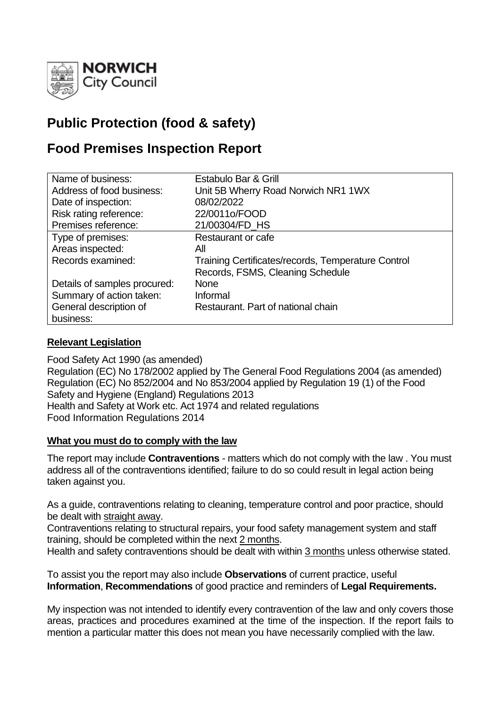

# **Public Protection (food & safety)**

# **Food Premises Inspection Report**

| Name of business:            | Estabulo Bar & Grill                               |
|------------------------------|----------------------------------------------------|
| Address of food business:    | Unit 5B Wherry Road Norwich NR1 1WX                |
| Date of inspection:          | 08/02/2022                                         |
| Risk rating reference:       | 22/0011o/FOOD                                      |
| Premises reference:          | 21/00304/FD_HS                                     |
| Type of premises:            | Restaurant or cafe                                 |
| Areas inspected:             | All                                                |
| Records examined:            | Training Certificates/records, Temperature Control |
|                              | Records, FSMS, Cleaning Schedule                   |
| Details of samples procured: | <b>None</b>                                        |
| Summary of action taken:     | Informal                                           |
| General description of       | Restaurant. Part of national chain                 |
| business:                    |                                                    |

## **Relevant Legislation**

Food Safety Act 1990 (as amended) Regulation (EC) No 178/2002 applied by The General Food Regulations 2004 (as amended) Regulation (EC) No 852/2004 and No 853/2004 applied by Regulation 19 (1) of the Food Safety and Hygiene (England) Regulations 2013 Health and Safety at Work etc. Act 1974 and related regulations Food Information Regulations 2014

## **What you must do to comply with the law**

The report may include **Contraventions** - matters which do not comply with the law . You must address all of the contraventions identified; failure to do so could result in legal action being taken against you.

As a guide, contraventions relating to cleaning, temperature control and poor practice, should be dealt with straight away.

Contraventions relating to structural repairs, your food safety management system and staff training, should be completed within the next 2 months.

Health and safety contraventions should be dealt with within 3 months unless otherwise stated.

To assist you the report may also include **Observations** of current practice, useful **Information**, **Recommendations** of good practice and reminders of **Legal Requirements.**

My inspection was not intended to identify every contravention of the law and only covers those areas, practices and procedures examined at the time of the inspection. If the report fails to mention a particular matter this does not mean you have necessarily complied with the law.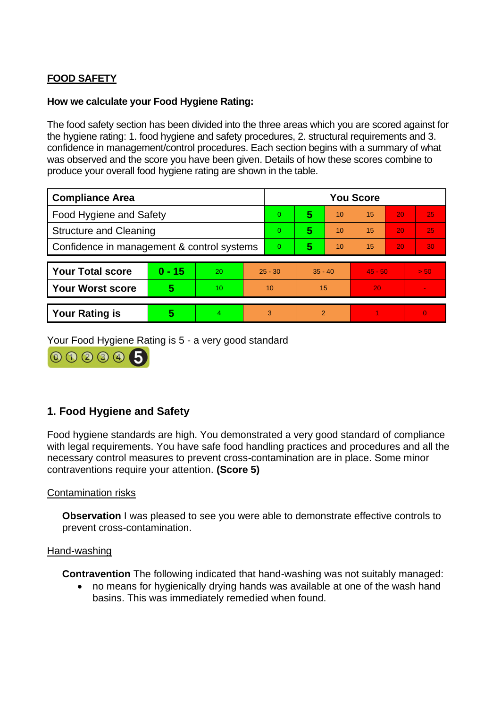# **FOOD SAFETY**

## **How we calculate your Food Hygiene Rating:**

The food safety section has been divided into the three areas which you are scored against for the hygiene rating: 1. food hygiene and safety procedures, 2. structural requirements and 3. confidence in management/control procedures. Each section begins with a summary of what was observed and the score you have been given. Details of how these scores combine to produce your overall food hygiene rating are shown in the table.

| <b>Compliance Area</b>                     |          |    |           | <b>You Score</b> |                |    |           |    |                          |  |
|--------------------------------------------|----------|----|-----------|------------------|----------------|----|-----------|----|--------------------------|--|
| Food Hygiene and Safety                    |          |    |           | 0                | 5              | 10 | 15        | 20 | 25                       |  |
| <b>Structure and Cleaning</b>              |          |    |           | $\Omega$         | 5              | 10 | 15        | 20 | 25                       |  |
| Confidence in management & control systems |          |    |           | $\overline{0}$   | 5              | 10 | 15        | 20 | 30 <sub>1</sub>          |  |
|                                            | $0 - 15$ | 20 |           |                  | $35 - 40$      |    | $45 - 50$ |    |                          |  |
| <b>Your Total score</b>                    |          |    | $25 - 30$ |                  |                |    |           |    | > 50                     |  |
| <b>Your Worst score</b>                    | 5        | 10 | 10        |                  | 15             |    | 20        |    | $\overline{\phantom{a}}$ |  |
|                                            |          |    |           |                  |                |    |           |    |                          |  |
| <b>Your Rating is</b>                      | 5        | 4  | 3         |                  | $\overline{2}$ |    |           |    | $\Omega$                 |  |

Your Food Hygiene Rating is 5 - a very good standard

000005

## **1. Food Hygiene and Safety**

Food hygiene standards are high. You demonstrated a very good standard of compliance with legal requirements. You have safe food handling practices and procedures and all the necessary control measures to prevent cross-contamination are in place. Some minor contraventions require your attention. **(Score 5)**

Contamination risks

**Observation** I was pleased to see you were able to demonstrate effective controls to prevent cross-contamination.

## Hand-washing

**Contravention** The following indicated that hand-washing was not suitably managed:

• no means for hygienically drying hands was available at one of the wash hand basins. This was immediately remedied when found.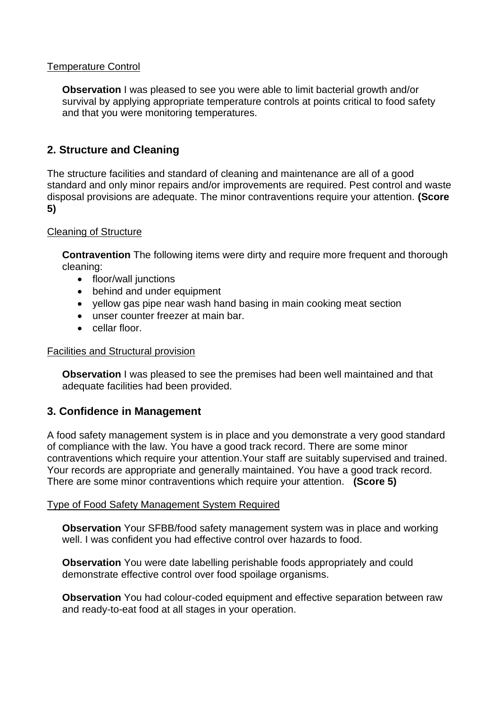## Temperature Control

**Observation** I was pleased to see you were able to limit bacterial growth and/or survival by applying appropriate temperature controls at points critical to food safety and that you were monitoring temperatures.

## **2. Structure and Cleaning**

The structure facilities and standard of cleaning and maintenance are all of a good standard and only minor repairs and/or improvements are required. Pest control and waste disposal provisions are adequate. The minor contraventions require your attention. **(Score 5)**

## Cleaning of Structure

**Contravention** The following items were dirty and require more frequent and thorough cleaning:

- floor/wall junctions
- behind and under equipment
- yellow gas pipe near wash hand basing in main cooking meat section
- unser counter freezer at main bar.
- cellar floor.

#### Facilities and Structural provision

**Observation** I was pleased to see the premises had been well maintained and that adequate facilities had been provided.

## **3. Confidence in Management**

A food safety management system is in place and you demonstrate a very good standard of compliance with the law. You have a good track record. There are some minor contraventions which require your attention.Your staff are suitably supervised and trained. Your records are appropriate and generally maintained. You have a good track record. There are some minor contraventions which require your attention. **(Score 5)**

## Type of Food Safety Management System Required

**Observation** Your SFBB/food safety management system was in place and working well. I was confident you had effective control over hazards to food.

**Observation** You were date labelling perishable foods appropriately and could demonstrate effective control over food spoilage organisms.

**Observation** You had colour-coded equipment and effective separation between raw and ready-to-eat food at all stages in your operation.